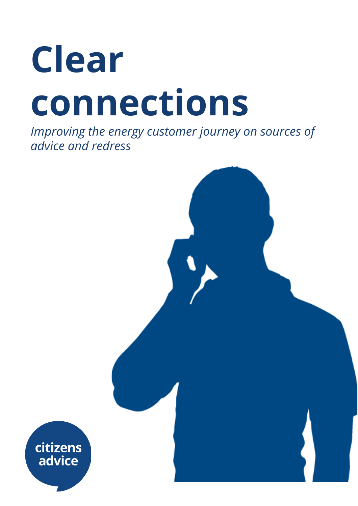# **Clear connections**

*Improving the energy customer journey on sources of advice and redress*

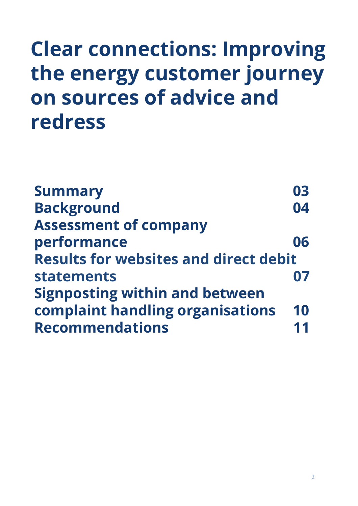#### **Clear connections: Improving the energy customer journey on sources of advice and redress**

| <b>Summary</b>                               | 03 |
|----------------------------------------------|----|
| <b>Background</b>                            | 04 |
| <b>Assessment of company</b>                 |    |
| performance                                  | 06 |
| <b>Results for websites and direct debit</b> |    |
| <b>statements</b>                            |    |
| <b>Signposting within and between</b>        |    |
| complaint handling organisations             | 10 |
| <b>Recommendations</b>                       |    |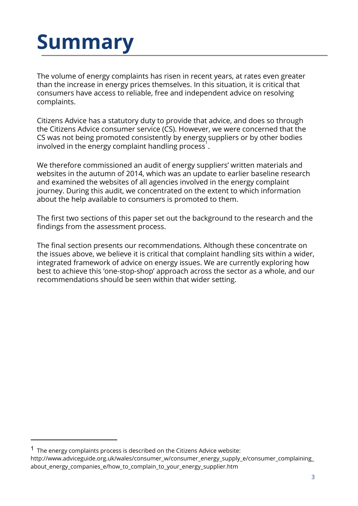# **Summary**

The volume of energy complaints has risen in recent years, at rates even greater than the increase in energy prices themselves. In this situation, it is critical that consumers have access to reliable, free and independent advice on resolving complaints.

Citizens Advice has a statutory duty to provide that advice, and does so through the Citizens Advice consumer service (CS). However, we were concerned that the CS was not being promoted consistently by energy suppliers or by other bodies involved in the energy complaint handling process<sup>1</sup>.

We therefore commissioned an audit of energy suppliers' written materials and websites in the autumn of 2014, which was an update to earlier baseline research and examined the websites of all agencies involved in the energy complaint journey. During this audit, we concentrated on the extent to which information about the help available to consumers is promoted to them.

The first two sections of this paper set out the background to the research and the findings from the assessment process.

The final section presents our recommendations. Although these concentrate on the issues above, we believe it is critical that complaint handling sits within a wider, integrated framework of advice on energy issues. We are currently exploring how best to achieve this 'one-stop-shop' approach across the sector as a whole, and our recommendations should be seen within that wider setting.

 $1$  The energy complaints process is described on the Citizens Advice website: [http://www.adviceguide.org.uk/wales/consumer\\_w/consumer\\_energy\\_supply\\_e/consumer\\_complaining\\_](http://www.adviceguide.org.uk/wales/consumer_w/consumer_energy_supply_e/consumer_complaining_about_energy_companies_e/how_to_complain_to_your_energy_supplier.htm) [about\\_energy\\_companies\\_e/how\\_to\\_complain\\_to\\_your\\_energy\\_supplier.htm](http://www.adviceguide.org.uk/wales/consumer_w/consumer_energy_supply_e/consumer_complaining_about_energy_companies_e/how_to_complain_to_your_energy_supplier.htm)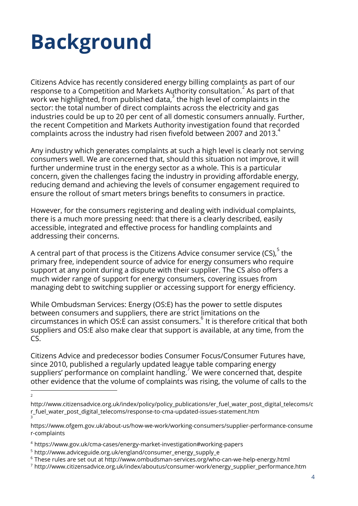# **Background**

Citizens Advice has recently considered energy billing complaints as part of our response to a Competition and Markets Authority consultation.  $2^2$  As part of that work we highlighted, from published data, $^3$  the high level of complaints in the sector: the total number of direct complaints across the electricity and gas industries could be up to 20 per cent of all domestic consumers annually. Further, the recent Competition and Markets Authority investigation found that recorded complaints across the industry had risen fivefold between 2007 and 2013. $^4$ 

Any industry which generates complaints at such a high level is clearly not serving consumers well. We are concerned that, should this situation not improve, it will further undermine trust in the energy sector as a whole. This is a particular concern, given the challenges facing the industry in providing affordable energy, reducing demand and achieving the levels of consumer engagement required to ensure the rollout of smart meters brings benefits to consumers in practice.

However, for the consumers registering and dealing with individual complaints, there is a much more pressing need: that there is a clearly described, easily accessible, integrated and effective process for handling complaints and addressing their concerns.

A central part of that process is the Citizens Advice consumer service (CS), $^{\rm 5}$  the primary free, independent source of advice for energy consumers who require support at any point during a dispute with their supplier. The CS also offers a much wider range of support for energy consumers, covering issues from managing debt to switching supplier or accessing support for energy efficiency.

While Ombudsman Services: Energy (OS:E) has the power to settle disputes between consumers and suppliers, there are strict limitations on the circumstances in which OS: $\overline{\overline{E}}$  can assist consumers. $^6$  It is therefore critical that both suppliers and OS:E also make clear that support is available, at any time, from the  $CS$ .

Citizens Advice and predecessor bodies Consumer Focus/Consumer Futures have, since 2010, published a regularly updated league table comparing energy suppliers' performance on complaint handling.<sup>7</sup> We were concerned that, despite other evidence that the volume of complaints was rising, the volume of calls to the

<sup>2</sup>

http://www.citizensadvice.org.uk/index/policy/policy\_publications/er\_fuel\_water\_post\_digital\_telecoms/c r\_fuel\_water\_post\_digital\_telecoms/response-to-cma-updated-issues-statement.htm 3

https://www.ofgem.gov.uk/about-us/how-we-work/working-consumers/supplier-performance-consume r-complaints

<sup>4</sup> <https://www.gov.uk/cma-cases/energy-market-investigation#working-papers>

<sup>5</sup> [http://www.adviceguide.org.uk/england/consumer\\_energy\\_supply\\_e](http://www.adviceguide.org.uk/england/consumer_energy_supply_e)

<sup>6</sup> These rules are set out at <http://www.ombudsman-services.org/who-can-we-help-energy.html>

<sup>7</sup> http://www.citizensadvice.org.uk/index/aboutus/consumer-work/energy\_supplier\_performance.htm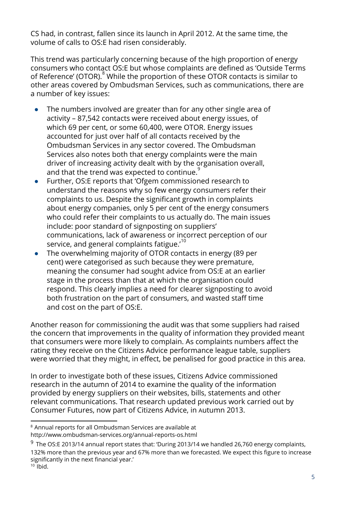CS had, in contrast, fallen since its launch in April 2012. At the same time, the volume of calls to OS:E had risen considerably.

This trend was particularly concerning because of the high proportion of energy consumers who contact OS:E but whose complaints are defined as 'Outside Terms of Reference' (OTOR).<sup>8</sup> While the proportion of these OTOR contacts is similar to other areas covered by Ombudsman Services, such as communications, there are a number of key issues:

- The numbers involved are greater than for any other single area of activity – 87,542 contacts were received about energy issues, of which 69 per cent, or some 60,400, were OTOR. Energy issues accounted for just over half of all contacts received by the Ombudsman Services in any sector covered. The Ombudsman Services also notes both that energy complaints were the main driver of increasing activity dealt with by the organisation overall, and that the trend was expected to continue.<sup>9</sup>
- Further, OS:E reports that 'Ofgem commissioned research to understand the reasons why so few energy consumers refer their complaints to us. Despite the significant growth in complaints about energy companies, only 5 per cent of the energy consumers who could refer their complaints to us actually do. The main issues include: poor standard of signposting on suppliers' communications, lack of awareness or incorrect perception of our service, and general complaints fatigue.' $^{\rm 10}$
- The overwhelming majority of OTOR contacts in energy (89 per cent) were categorised as such because they were premature, meaning the consumer had sought advice from OS:E at an earlier stage in the process than that at which the organisation could respond. This clearly implies a need for clearer signposting to avoid both frustration on the part of consumers, and wasted staff time and cost on the part of OS:E.

Another reason for commissioning the audit was that some suppliers had raised the concern that improvements in the quality of information they provided meant that consumers were more likely to complain. As complaints numbers affect the rating they receive on the Citizens Advice performance league table, suppliers were worried that they might, in effect, be penalised for good practice in this area.

In order to investigate both of these issues, Citizens Advice commissioned research in the autumn of 2014 to examine the quality of the information provided by energy suppliers on their websites, bills, statements and other relevant communications. That research updated previous work carried out by Consumer Futures, now part of Citizens Advice, in Autumn 2013.

<sup>8</sup> Annual reports for all Ombudsman Services are available at http://www.ombudsman-services.org/annual-reports-os.html

 $9$  The OS:E 2013/14 annual report states that: 'During 2013/14 we handled 26,760 energy complaints, 132% more than the previous year and 67% more than we forecasted. We expect this figure to increase significantly in the next financial year.'

 $10$  lbid.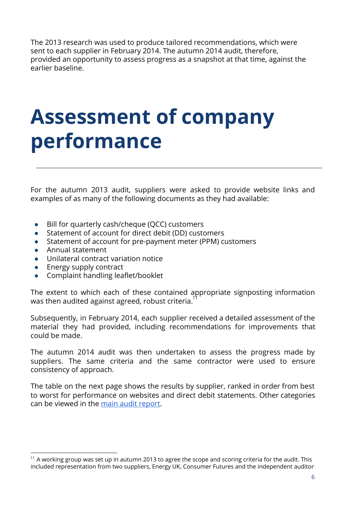The 2013 research was used to produce tailored recommendations, which were sent to each supplier in February 2014. The autumn 2014 audit, therefore, provided an opportunity to assess progress as a snapshot at that time, against the earlier baseline.

#### **Assessment of company performance**

For the autumn 2013 audit, suppliers were asked to provide website links and examples of as many of the following documents as they had available:

- Bill for quarterly cash/cheque (QCC) customers
- Statement of account for direct debit (DD) customers
- Statement of account for pre-payment meter (PPM) customers
- Annual statement
- Unilateral contract variation notice
- Energy supply contract
- Complaint handling leaflet/booklet

The extent to which each of these contained appropriate signposting information was then audited against agreed, robust criteria. $^{\text{11}}$ 

Subsequently, in February 2014, each supplier received a detailed assessment of the material they had provided, including recommendations for improvements that could be made.

The autumn 2014 audit was then undertaken to assess the progress made by suppliers. The same criteria and the same contractor were used to ensure consistency of approach.

The table on the next page shows the results by supplier, ranked in order from best to worst for performance on websites and direct debit statements. Other categories can be viewed in the main audit [report](https://www.citizensadvice.org.uk/about-us/policy/policy-research-topics/essential-services-policy-research/audit-of-energy-supplier-signposting/).

<sup>&</sup>lt;sup>11</sup> A working group was set up in autumn 2013 to agree the scope and scoring criteria for the audit. This included representation from two suppliers, Energy UK, Consumer Futures and the independent auditor .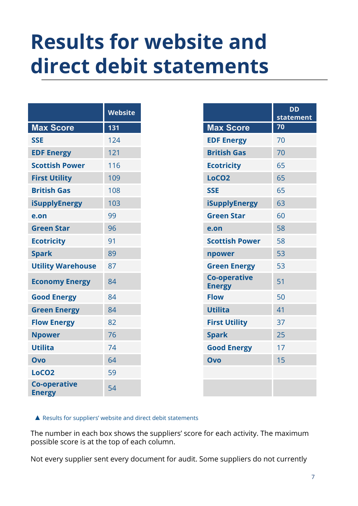### **Results for website and direct debit statements**

|                                      | <b>Website</b> |
|--------------------------------------|----------------|
| <b>Max Score</b>                     | 131            |
| <b>SSE</b>                           | 124            |
| <b>EDF Energy</b>                    | 121            |
| <b>Scottish Power</b>                | 116            |
| <b>First Utility</b>                 | 109            |
| <b>British Gas</b>                   | 108            |
| <b>iSupplyEnergy</b>                 | 103            |
| e.on                                 | 99             |
| <b>Green Star</b>                    | 96             |
| <b>Ecotricity</b>                    | 91             |
| <b>Spark</b>                         | 89             |
| <b>Utility Warehouse</b>             | 87             |
| <b>Economy Energy</b>                | 84             |
| <b>Good Energy</b>                   | 84             |
| <b>Green Energy</b>                  | 84             |
| <b>Flow Energy</b>                   | 82             |
| <b>Npower</b>                        | 76             |
| <b>Utilita</b>                       | 74             |
| Ovo                                  | 64             |
| LoCO <sub>2</sub>                    | 59             |
| <b>Co-operative</b><br><b>Energy</b> | 54             |

|                                      | statement |
|--------------------------------------|-----------|
| <b>Max Score</b>                     | 70        |
| <b>EDF Energy</b>                    | 70        |
| <b>British Gas</b>                   | 70        |
| <b>Ecotricity</b>                    | 65        |
| LoCO <sub>2</sub>                    | 65        |
| <b>SSE</b>                           | 65        |
| <b>iSupplyEnergy</b>                 | 63        |
| <b>Green Star</b>                    | 60        |
| e.on                                 | 58        |
| <b>Scottish Power</b>                | 58        |
| npower                               | 53        |
| <b>Green Energy</b>                  | 53        |
| <b>Co-operative</b><br><b>Energy</b> | 51        |
| <b>Flow</b>                          | 50        |
| <b>Utilita</b>                       | 41        |
| <b>First Utility</b>                 | 37        |
| <b>Spark</b>                         | 25        |
| <b>Good Energy</b>                   | 17        |
| Ovo                                  | 15        |
|                                      |           |
|                                      |           |

▲ Results for suppliers' website and direct debit statements

The number in each box shows the suppliers' score for each activity. The maximum possible score is at the top of each column.

Not every supplier sent every document for audit. Some suppliers do not currently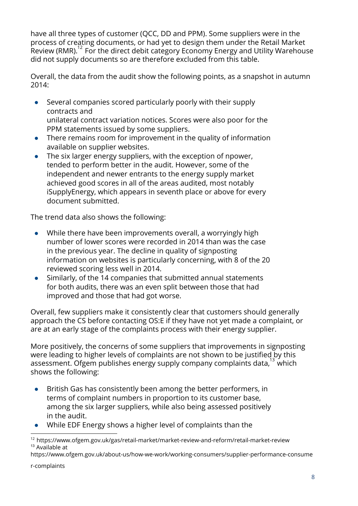have all three types of customer (QCC, DD and PPM). Some suppliers were in the process of creating documents, or had yet to design them under the Retail Market Review (RMR).<sup>12</sup> For the direct debit category Economy Energy and Utility Warehouse did not supply documents so are therefore excluded from this table.

Overall, the data from the audit show the following points, as a snapshot in autumn 2014:

- Several companies scored particularly poorly with their supply contracts and unilateral contract variation notices. Scores were also poor for the PPM statements issued by some suppliers.
- There remains room for improvement in the quality of information available on supplier websites.
- The six larger energy suppliers, with the exception of npower, tended to perform better in the audit. However, some of the independent and newer entrants to the energy supply market achieved good scores in all of the areas audited, most notably iSupplyEnergy, which appears in seventh place or above for every document submitted.

The trend data also shows the following:

- While there have been improvements overall, a worryingly high number of lower scores were recorded in 2014 than was the case in the previous year. The decline in quality of signposting information on websites is particularly concerning, with 8 of the 20 reviewed scoring less well in 2014.
- Similarly, of the 14 companies that submitted annual statements for both audits, there was an even split between those that had improved and those that had got worse.

Overall, few suppliers make it consistently clear that customers should generally approach the CS before contacting OS:E if they have not yet made a complaint, or are at an early stage of the complaints process with their energy supplier.

More positively, the concerns of some suppliers that improvements in signposting were leading to higher levels of complaints are not shown to be justified by this assessment. Ofgem publishes energy supply company complaints data, $^{13}$  which shows the following:

- British Gas has consistently been among the better performers, in terms of complaint numbers in proportion to its customer base, among the six larger suppliers, while also being assessed positively in the audit.
- While EDF Energy shows a higher level of complaints than the

[https://www.ofgem.gov.uk/about-us/how-we-work/working-consumers/supplier-performance-consume](https://www.ofgem.gov.uk/about-us/how-we-work/working-consumers/supplier-performance-consumer-complaints)

<sup>12</sup> https://www.ofgem.gov.uk/gas/retail-market/market-review-and-reform/retail-market-review <sup>13</sup> Available at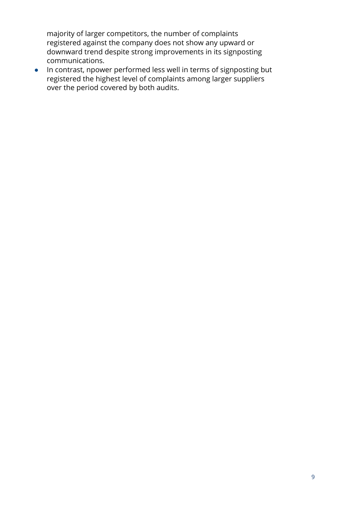majority of larger competitors, the number of complaints registered against the company does not show any upward or downward trend despite strong improvements in its signposting communications.

● In contrast, npower performed less well in terms of signposting but registered the highest level of complaints among larger suppliers over the period covered by both audits.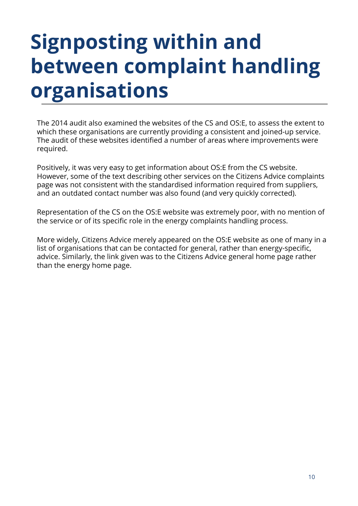# **Signposting within and between complaint handling organisations**

The 2014 audit also examined the websites of the CS and OS:E, to assess the extent to which these organisations are currently providing a consistent and joined-up service. The audit of these websites identified a number of areas where improvements were required.

Positively, it was very easy to get information about OS:E from the CS website. However, some of the text describing other services on the Citizens Advice complaints page was not consistent with the standardised information required from suppliers, and an outdated contact number was also found (and very quickly corrected).

Representation of the CS on the OS:E website was extremely poor, with no mention of the service or of its specific role in the energy complaints handling process.

More widely, Citizens Advice merely appeared on the OS:E website as one of many in a list of organisations that can be contacted for general, rather than energy-specific, advice. Similarly, the link given was to the Citizens Advice general home page rather than the energy home page.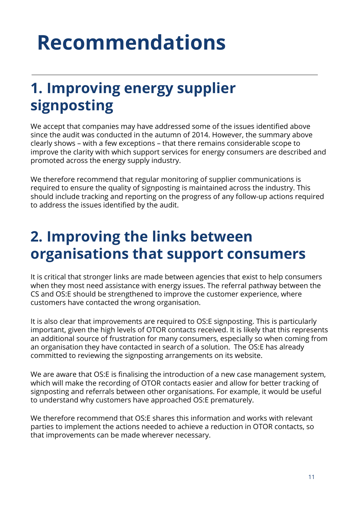# **Recommendations**

#### **1. Improving energy supplier signposting**

We accept that companies may have addressed some of the issues identified above since the audit was conducted in the autumn of 2014. However, the summary above clearly shows – with a few exceptions – that there remains considerable scope to improve the clarity with which support services for energy consumers are described and promoted across the energy supply industry.

We therefore recommend that regular monitoring of supplier communications is required to ensure the quality of signposting is maintained across the industry. This should include tracking and reporting on the progress of any follow-up actions required to address the issues identified by the audit.

#### **2. Improving the links between organisations that support consumers**

It is critical that stronger links are made between agencies that exist to help consumers when they most need assistance with energy issues. The referral pathway between the CS and OS:E should be strengthened to improve the customer experience, where customers have contacted the wrong organisation.

It is also clear that improvements are required to OS:E signposting. This is particularly important, given the high levels of OTOR contacts received. It is likely that this represents an additional source of frustration for many consumers, especially so when coming from an organisation they have contacted in search of a solution. The OS:E has already committed to reviewing the signposting arrangements on its website.

We are aware that OS:E is finalising the introduction of a new case management system, which will make the recording of OTOR contacts easier and allow for better tracking of signposting and referrals between other organisations. For example, it would be useful to understand why customers have approached OS:E prematurely.

We therefore recommend that OS:E shares this information and works with relevant parties to implement the actions needed to achieve a reduction in OTOR contacts, so that improvements can be made wherever necessary.